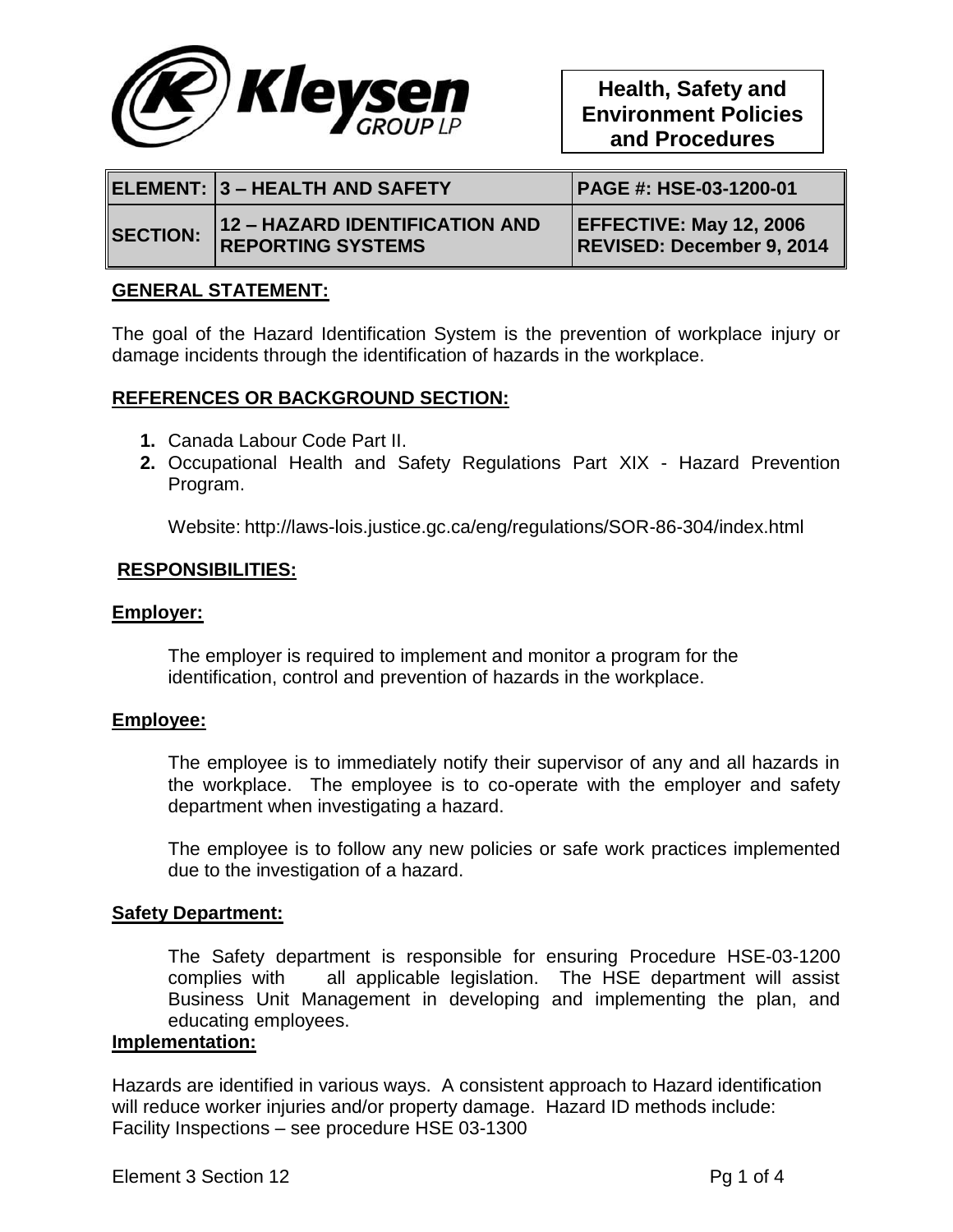

|                 | ELEMENT:  3 – HEALTH AND SAFETY                            | <b>PAGE #: HSE-03-1200-01</b>                                      |
|-----------------|------------------------------------------------------------|--------------------------------------------------------------------|
| <b>SECTION:</b> | 12 - HAZARD IDENTIFICATION AND<br><b>REPORTING SYSTEMS</b> | <b>EFFECTIVE: May 12, 2006</b><br><b>REVISED: December 9, 2014</b> |

## **GENERAL STATEMENT:**

The goal of the Hazard Identification System is the prevention of workplace injury or damage incidents through the identification of hazards in the workplace.

## **REFERENCES OR BACKGROUND SECTION:**

- **1.** Canada Labour Code Part II.
- **2.** Occupational Health and Safety Regulations Part XIX Hazard Prevention Program.

Website: http://laws-lois.justice.gc.ca/eng/regulations/SOR-86-304/index.html

## **RESPONSIBILITIES:**

#### **Employer:**

The employer is required to implement and monitor a program for the identification, control and prevention of hazards in the workplace.

#### **Employee:**

The employee is to immediately notify their supervisor of any and all hazards in the workplace. The employee is to co-operate with the employer and safety department when investigating a hazard.

The employee is to follow any new policies or safe work practices implemented due to the investigation of a hazard.

#### **Safety Department:**

The Safety department is responsible for ensuring Procedure HSE-03-1200 complies with all applicable legislation. The HSE department will assist Business Unit Management in developing and implementing the plan, and educating employees.

#### **Implementation:**

Hazards are identified in various ways. A consistent approach to Hazard identification will reduce worker injuries and/or property damage. Hazard ID methods include: Facility Inspections – see procedure HSE 03-1300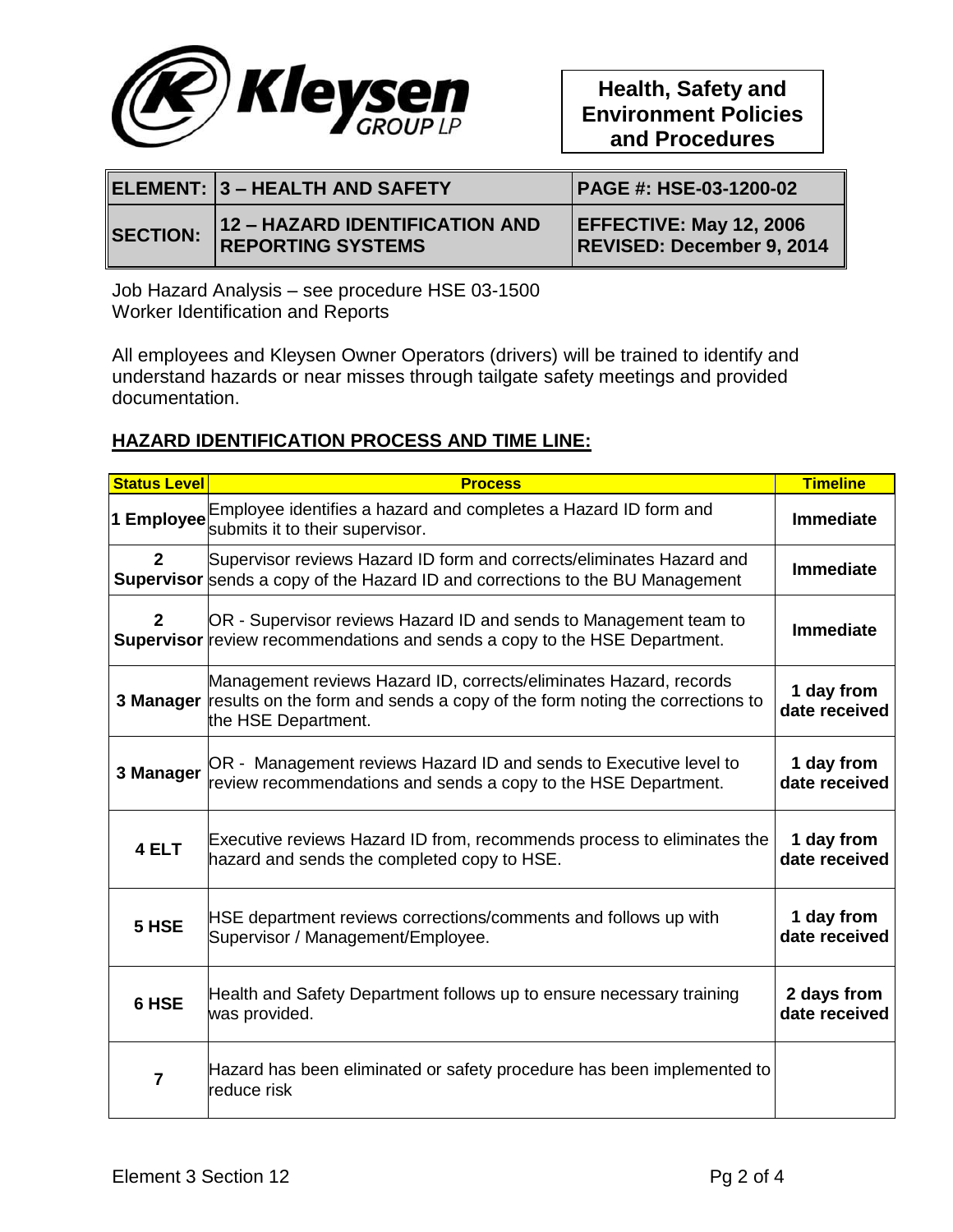

|                 |                                                            | PAGE #: HSE-03-1200-02                                      |
|-----------------|------------------------------------------------------------|-------------------------------------------------------------|
| <b>SECTION:</b> | 12 - HAZARD IDENTIFICATION AND<br><b>REPORTING SYSTEMS</b> | <b>EFFECTIVE: May 12, 2006</b><br>REVISED: December 9, 2014 |

Job Hazard Analysis – see procedure HSE 03-1500 Worker Identification and Reports

All employees and Kleysen Owner Operators (drivers) will be trained to identify and understand hazards or near misses through tailgate safety meetings and provided documentation.

# **HAZARD IDENTIFICATION PROCESS AND TIME LINE:**

| <b>Status Level</b> | <b>Process</b>                                                                                                                                                         | <b>Timeline</b>              |
|---------------------|------------------------------------------------------------------------------------------------------------------------------------------------------------------------|------------------------------|
| 1 Employee          | Employee identifies a hazard and completes a Hazard ID form and<br>submits it to their supervisor.                                                                     | <b>Immediate</b>             |
| $\mathbf{2}$        | Supervisor reviews Hazard ID form and corrects/eliminates Hazard and<br><b>Supervisor</b> sends a copy of the Hazard ID and corrections to the BU Management           | <b>Immediate</b>             |
| $\mathbf{2}$        | OR - Supervisor reviews Hazard ID and sends to Management team to<br><b>Supervisor</b> review recommendations and sends a copy to the HSE Department.                  | <b>Immediate</b>             |
| 3 Manager           | Management reviews Hazard ID, corrects/eliminates Hazard, records<br>results on the form and sends a copy of the form noting the corrections to<br>the HSE Department. | 1 day from<br>date received  |
| 3 Manager           | OR - Management reviews Hazard ID and sends to Executive level to<br>review recommendations and sends a copy to the HSE Department.                                    | 1 day from<br>date received  |
| 4 ELT               | Executive reviews Hazard ID from, recommends process to eliminates the<br>hazard and sends the completed copy to HSE.                                                  | 1 day from<br>date received  |
| 5 HSE               | HSE department reviews corrections/comments and follows up with<br>Supervisor / Management/Employee.                                                                   | 1 day from<br>date received  |
| 6 HSE               | Health and Safety Department follows up to ensure necessary training<br>was provided.                                                                                  | 2 days from<br>date received |
| $\overline{7}$      | Hazard has been eliminated or safety procedure has been implemented to<br>reduce risk                                                                                  |                              |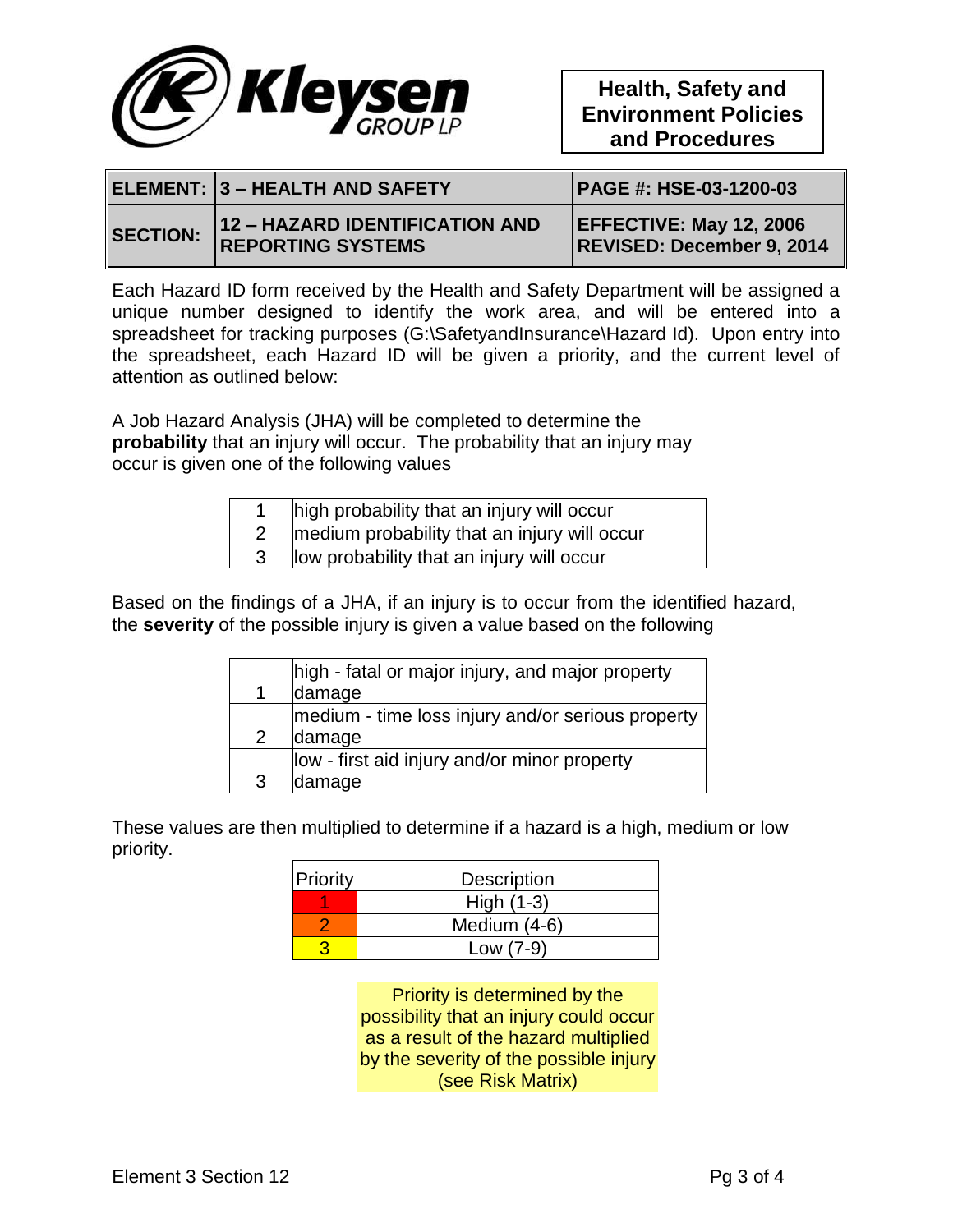

|                 | ELEMENT: 3 – HEALTH AND SAFETY                             | <b>PAGE #: HSE-03-1200-03</b>                               |
|-----------------|------------------------------------------------------------|-------------------------------------------------------------|
| <b>SECTION:</b> | 12 - HAZARD IDENTIFICATION AND<br><b>REPORTING SYSTEMS</b> | <b>EFFECTIVE: May 12, 2006</b><br>REVISED: December 9, 2014 |

Each Hazard ID form received by the Health and Safety Department will be assigned a unique number designed to identify the work area, and will be entered into a spreadsheet for tracking purposes (G:\SafetyandInsurance\Hazard Id). Upon entry into the spreadsheet, each Hazard ID will be given a priority, and the current level of attention as outlined below:

A Job Hazard Analysis (JHA) will be completed to determine the **probability** that an injury will occur. The probability that an injury may occur is given one of the following values

| high probability that an injury will occur   |
|----------------------------------------------|
| medium probability that an injury will occur |
| low probability that an injury will occur    |

Based on the findings of a JHA, if an injury is to occur from the identified hazard, the **severity** of the possible injury is given a value based on the following

|   | high - fatal or major injury, and major property  |
|---|---------------------------------------------------|
|   | damage                                            |
|   | medium - time loss injury and/or serious property |
| 2 | damage                                            |
|   | low - first aid injury and/or minor property      |
| 3 | damage                                            |

These values are then multiplied to determine if a hazard is a high, medium or low priority.

| <b>Priority</b> | Description    |
|-----------------|----------------|
|                 | High $(1-3)$   |
|                 | Medium $(4-6)$ |
|                 | Low $(7-9)$    |

Priority is determined by the possibility that an injury could occur as a result of the hazard multiplied by the severity of the possible injury (see Risk Matrix)